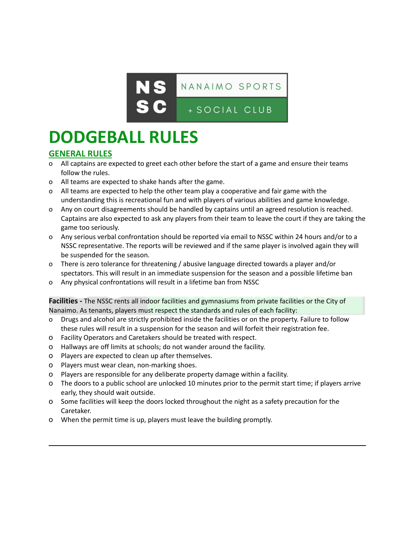

# **DODGEBALL RULES**

### **GENERAL RULES**

- o All captains are expected to greet each other before the start of a game and ensure their teams follow the rules.
- o All teams are expected to shake hands after the game.
- o All teams are expected to help the other team play a cooperative and fair game with the understanding this is recreational fun and with players of various abilities and game knowledge.
- o Any on court disagreements should be handled by captains until an agreed resolution is reached. Captains are also expected to ask any players from their team to leave the court if they are taking the game too seriously.
- o Any serious verbal confrontation should be reported via email to NSSC within 24 hours and/or to a NSSC representative. The reports will be reviewed and if the same player is involved again they will be suspended for the season.
- o There is zero tolerance for threatening / abusive language directed towards a player and/or spectators. This will result in an immediate suspension for the season and a possible lifetime ban
- o Any physical confrontations will result in a lifetime ban from NSSC

**Facilities -** The NSSC rents all indoor facilities and gymnasiums from private facilities or the City of Nanaimo. As tenants, players must respect the standards and rules of each facility:

- Drugs and alcohol are strictly prohibited inside the facilities or on the property. Failure to follow these rules will result in a suspension for the season and will forfeit their registration fee.
- o Facility Operators and Caretakers should be treated with respect.
- o Hallways are off limits at schools; do not wander around the facility.
- o Players are expected to clean up after themselves.
- o Players must wear clean, non-marking shoes.
- o Players are responsible for any deliberate property damage within a facility.
- o The doors to a public school are unlocked 10 minutes prior to the permit start time; if players arrive early, they should wait outside.
- o Some facilities will keep the doors locked throughout the night as a safety precaution for the Caretaker.
- o When the permit time is up, players must leave the building promptly.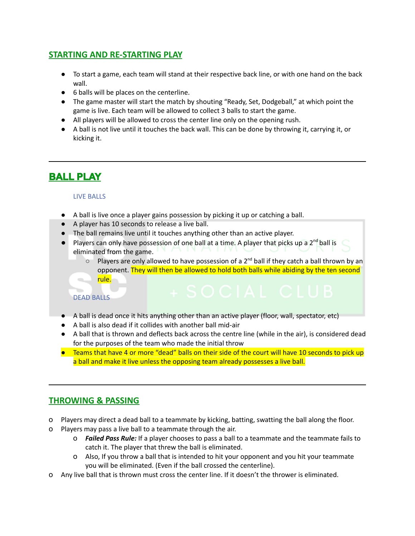# **STARTING AND RE-STARTING PLAY**

- To start a game, each team will stand at their respective back line, or with one hand on the back wall.
- 6 balls will be places on the centerline.
- The game master will start the match by shouting "Ready, Set, Dodgeball," at which point the game is live. Each team will be allowed to collect 3 balls to start the game.
- All players will be allowed to cross the center line only on the opening rush.
- A ball is not live until it touches the back wall. This can be done by throwing it, carrying it, or kicking it.

# **BALL PLAY**

#### LIVE BALLS

- A ball is live once a player gains possession by picking it up or catching a ball.
- A player has 10 seconds to release a live ball.
- The ball remains live until it touches anything other than an active player.
- Players can only have possession of one ball at a time. A player that picks up a 2<sup>nd</sup> ball is eliminated from the game.
	- $\circ$  Players are only allowed to have possession of a 2<sup>nd</sup> ball if they catch a ball thrown by an opponent. They will then be allowed to hold both balls while abiding by the ten second rule.

#### DEAD BALLS

- A ball is dead once it hits anything other than an active player (floor, wall, spectator, etc)
- A ball is also dead if it collides with another ball mid-air
- A ball that is thrown and deflects back across the centre line (while in the air), is considered dead for the purposes of the team who made the initial throw
- Teams that have 4 or more "dead" balls on their side of the court will have 10 seconds to pick up a ball and make it live unless the opposing team already possesses a live ball.

# **THROWING & PASSING**

- o Players may direct a dead ball to a teammate by kicking, batting, swatting the ball along the floor.
- o Players may pass a live ball to a teammate through the air.
	- o *Failed Pass Rule:* If a player chooses to pass a ball to a teammate and the teammate fails to catch it. The player that threw the ball is eliminated.
	- o Also, If you throw a ball that is intended to hit your opponent and you hit your teammate you will be eliminated. (Even if the ball crossed the centerline).
- o Any live ball that is thrown must cross the center line. If it doesn't the thrower is eliminated.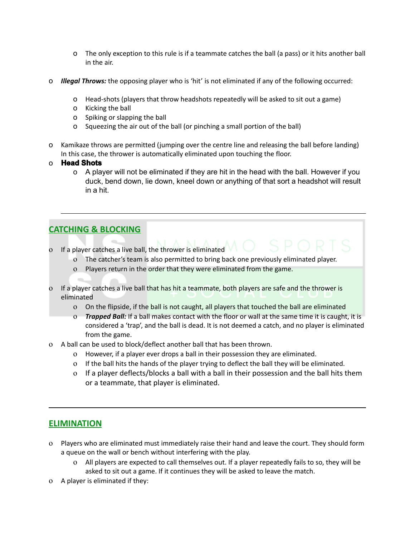- o The only exception to this rule is if a teammate catches the ball (a pass) or it hits another ball in the air.
- o *Illegal Throws:* the opposing player who is 'hit' is not eliminated if any of the following occurred:
	- o Head-shots (players that throw headshots repeatedly will be asked to sit out a game)
	- o Kicking the ball
	- o Spiking or slapping the ball
	- o Squeezing the air out of the ball (or pinching a small portion of the ball)
- o Kamikaze throws are permitted (jumping over the centre line and releasing the ball before landing) In this case, the thrower is automatically eliminated upon touching the floor.
- o **Head Shots**
	- o A player will not be eliminated if they are hit in the head with the ball. However if you duck, bend down, lie down, kneel down or anything of that sort a headshot will result in a hit.

# **CATCHING & BLOCKING**

- o If a player catches a live ball, the thrower is eliminated
	- o The catcher's team is also permitted to bring back one previously eliminated player.
	- o Players return in the order that they were eliminated from the game.
- o If a player catches a live ball that has hit a teammate, both players are safe and the thrower is eliminated
	- o On the flipside, if the ball is not caught, all players that touched the ball are eliminated
	- o *Trapped Ball:* If a ball makes contact with the floor or wall at the same time it is caught, it is considered a 'trap', and the ball is dead. It is not deemed a catch, and no player is eliminated from the game.
- o A ball can be used to block/deflect another ball that has been thrown.
	- o However, if a player ever drops a ball in their possession they are eliminated.
	- o If the ball hits the hands of the player trying to deflect the ball they will be eliminated.
	- o If a player deflects/blocks a ball with a ball in their possession and the ball hits them or a teammate, that player is eliminated.

#### **ELIMINATION**

- o Players who are eliminated must immediately raise their hand and leave the court. They should form a queue on the wall or bench without interfering with the play.
	- o All players are expected to call themselves out. If a player repeatedly fails to so, they will be asked to sit out a game. If it continues they will be asked to leave the match.
- o A player is eliminated if they: